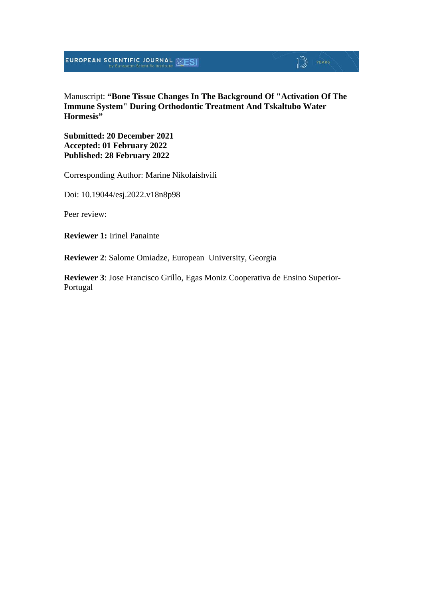**EUROPEAN SCIENTIFIC JOURNAL SESI** 

## $\mathbb{D}$  YEARS

Manuscript: **"Bone Tissue Changes In The Background Of "Activation Of The Immune System" During Orthodontic Treatment And Tskaltubo Water Hormesis"**

**Submitted: 20 December 2021 Accepted: 01 February 2022 Published: 28 February 2022**

Corresponding Author: Marine Nikolaishvili

Doi: 10.19044/esj.2022.v18n8p98

Peer review:

**Reviewer 1:** Irinel Panainte

**Reviewer 2**: Salome Omiadze, European University, Georgia

**Reviewer 3**: Jose Francisco Grillo, Egas Moniz Cooperativa de Ensino Superior-Portugal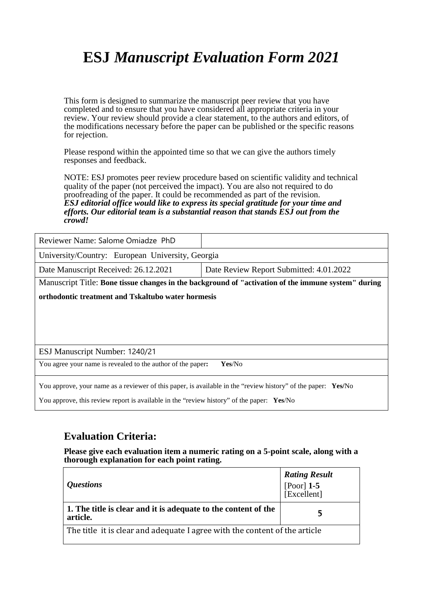## **ESJ** *Manuscript Evaluation Form 2021*

This form is designed to summarize the manuscript peer review that you have completed and to ensure that you have considered all appropriate criteria in your review. Your review should provide a clear statement, to the authors and editors, of the modifications necessary before the paper can be published or the specific reasons for rejection.

Please respond within the appointed time so that we can give the authors timely responses and feedback.

NOTE: ESJ promotes peer review procedure based on scientific validity and technical quality of the paper (not perceived the impact). You are also not required to do proofreading of the paper. It could be recommended as part of the revision. *ESJ editorial office would like to express its special gratitude for your time and efforts. Our editorial team is a substantial reason that stands ESJ out from the crowd!* 

| Reviewer Name: Salome Omiadze PhD                                                                             |                                                                                                     |
|---------------------------------------------------------------------------------------------------------------|-----------------------------------------------------------------------------------------------------|
| University/Country: European University, Georgia                                                              |                                                                                                     |
| Date Manuscript Received: 26.12.2021                                                                          | Date Review Report Submitted: 4.01.2022                                                             |
|                                                                                                               | Manuscript Title: Bone tissue changes in the background of "activation of the immune system" during |
| orthodontic treatment and Tskaltubo water hormesis                                                            |                                                                                                     |
|                                                                                                               |                                                                                                     |
|                                                                                                               |                                                                                                     |
|                                                                                                               |                                                                                                     |
| ESJ Manuscript Number: 1240/21                                                                                |                                                                                                     |
| You agree your name is revealed to the author of the paper:                                                   | Yes/No                                                                                              |
| You approve, your name as a reviewer of this paper, is available in the "review history" of the paper: Yes/No |                                                                                                     |

You approve, this review report is available in the "review history" of the paper: **Yes**/No

### **Evaluation Criteria:**

**Please give each evaluation item a numeric rating on a 5-point scale, along with a thorough explanation for each point rating.**

| <i><b>Ouestions</b></i>                                                    | <b>Rating Result</b><br>$[Poor]$ 1-5<br>[Excellent] |
|----------------------------------------------------------------------------|-----------------------------------------------------|
| 1. The title is clear and it is adequate to the content of the<br>article. |                                                     |
| The title it is clear and adequate I agree with the content of the article |                                                     |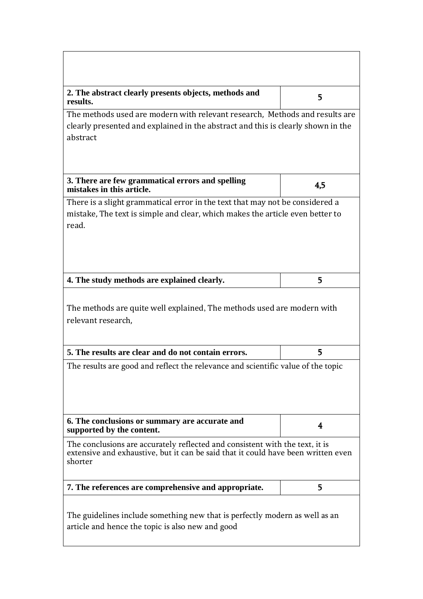| 2. The abstract clearly presents objects, methods and<br>results.                                                                                                            | 5   |  |
|------------------------------------------------------------------------------------------------------------------------------------------------------------------------------|-----|--|
| The methods used are modern with relevant research, Methods and results are<br>clearly presented and explained in the abstract and this is clearly shown in the<br>abstract  |     |  |
| 3. There are few grammatical errors and spelling<br>mistakes in this article.                                                                                                | 4,5 |  |
| There is a slight grammatical error in the text that may not be considered a<br>mistake, The text is simple and clear, which makes the article even better to<br>read.       |     |  |
| 4. The study methods are explained clearly.                                                                                                                                  | 5   |  |
| The methods are quite well explained, The methods used are modern with<br>relevant research,                                                                                 |     |  |
| 5. The results are clear and do not contain errors.                                                                                                                          | 5   |  |
| The results are good and reflect the relevance and scientific value of the topic                                                                                             |     |  |
| 6. The conclusions or summary are accurate and<br>supported by the content.                                                                                                  | 4   |  |
| The conclusions are accurately reflected and consistent with the text, it is<br>extensive and exhaustive, but it can be said that it could have been written even<br>shorter |     |  |
| 7. The references are comprehensive and appropriate.                                                                                                                         | 5   |  |
| The guidelines include something new that is perfectly modern as well as an<br>article and hence the topic is also new and good                                              |     |  |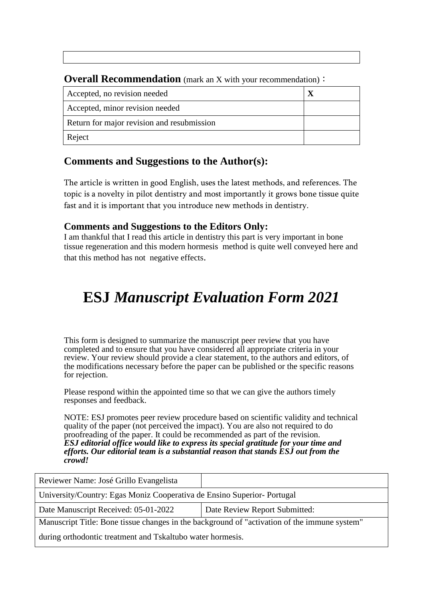| <b>OVETAIL RECOMMENDATION</b> (mark an X with your recommendation) $\cdot$ |  |
|----------------------------------------------------------------------------|--|
| Accepted, no revision needed                                               |  |
| Accepted, minor revision needed                                            |  |
| Return for major revision and resubmission                                 |  |
| Reject                                                                     |  |

**Overall Recommendation** (mark an X with your recommendation):

### **Comments and Suggestions to the Author(s):**

The article is written in good English, uses the latest methods, and references. The topic is a novelty in pilot dentistry and most importantly it grows bone tissue quite fast and it is important that you introduce new methods in dentistry.

### **Comments and Suggestions to the Editors Only:**

I am thankful that I read this article in dentistry this part is very important in bone tissue regeneration and this modern hormesis method is quite well conveyed here and that this method has not negative effects.

# **ESJ** *Manuscript Evaluation Form 2021*

This form is designed to summarize the manuscript peer review that you have completed and to ensure that you have considered all appropriate criteria in your review. Your review should provide a clear statement, to the authors and editors, of the modifications necessary before the paper can be published or the specific reasons for rejection.

Please respond within the appointed time so that we can give the authors timely responses and feedback.

NOTE: ESJ promotes peer review procedure based on scientific validity and technical quality of the paper (not perceived the impact). You are also not required to do proofreading of the paper. It could be recommended as part of the revision. *ESJ editorial office would like to express its special gratitude for your time and efforts. Our editorial team is a substantial reason that stands ESJ out from the crowd!* 

| Reviewer Name: José Grillo Evangelista                                                       |                               |
|----------------------------------------------------------------------------------------------|-------------------------------|
| University/Country: Egas Moniz Cooperativa de Ensino Superior-Portugal                       |                               |
| Date Manuscript Received: 05-01-2022                                                         | Date Review Report Submitted: |
| Manuscript Title: Bone tissue changes in the background of "activation of the immune system" |                               |
| during orthodontic treatment and Tskaltubo water hormesis.                                   |                               |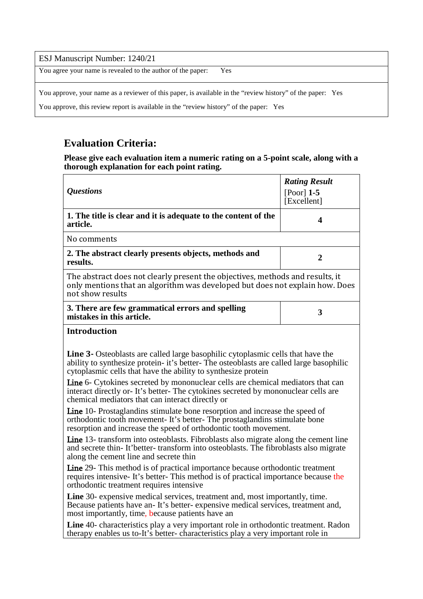#### ESJ Manuscript Number: 1240/21

You agree your name is revealed to the author of the paper: Yes

You approve, your name as a reviewer of this paper, is available in the "review history" of the paper: Yes

You approve, this review report is available in the "review history" of the paper: Yes

## **Evaluation Criteria:**

**Please give each evaluation item a numeric rating on a 5-point scale, along with a thorough explanation for each point rating.**

| <i><b>Questions</b></i>                                                                                                                                                                                                                                                                                                                                                                                                                                               | <b>Rating Result</b><br>$[Poor]$ 1-5<br>[Excellent] |
|-----------------------------------------------------------------------------------------------------------------------------------------------------------------------------------------------------------------------------------------------------------------------------------------------------------------------------------------------------------------------------------------------------------------------------------------------------------------------|-----------------------------------------------------|
| 1. The title is clear and it is adequate to the content of the<br>article.                                                                                                                                                                                                                                                                                                                                                                                            | 4                                                   |
| No comments                                                                                                                                                                                                                                                                                                                                                                                                                                                           |                                                     |
| 2. The abstract clearly presents objects, methods and<br>results.                                                                                                                                                                                                                                                                                                                                                                                                     | $\overline{2}$                                      |
| The abstract does not clearly present the objectives, methods and results, it<br>only mentions that an algorithm was developed but does not explain how. Does<br>not show results                                                                                                                                                                                                                                                                                     |                                                     |
| 3. There are few grammatical errors and spelling<br>mistakes in this article.                                                                                                                                                                                                                                                                                                                                                                                         | 3                                                   |
| <b>Introduction</b>                                                                                                                                                                                                                                                                                                                                                                                                                                                   |                                                     |
| Line 3- Osteoblasts are called large basophilic cytoplasmic cells that have the<br>ability to synthesize protein- it's better-The osteoblasts are called large basophilic<br>cytoplasmic cells that have the ability to synthesize protein<br>Line 6- Cytokines secreted by mononuclear cells are chemical mediators that can<br>interact directly or-It's better-The cytokines secreted by mononuclear cells are<br>chemical mediators that can interact directly or |                                                     |
| <b>Line</b> 10- Prostaglandins stimulate bone resorption and increase the speed of<br>orthodontic tooth movement-It's better-The prostaglandins stimulate bone<br>resorption and increase the speed of orthodontic tooth movement.                                                                                                                                                                                                                                    |                                                     |
| <b>Line</b> 13- transform into osteoblasts. Fibroblasts also migrate along the cement line<br>and secrete thin-It'better-transform into osteoblasts. The fibroblasts also migrate<br>along the cement line and secrete thin                                                                                                                                                                                                                                           |                                                     |
| Line 29- This method is of practical importance because orthodontic treatment<br>requires intensive- It's better- This method is of practical importance because the<br>orthodontic treatment requires intensive                                                                                                                                                                                                                                                      |                                                     |
| Line 30- expensive medical services, treatment and, most importantly, time.<br>Because patients have an-It's better-expensive medical services, treatment and,<br>most importantly, time, because patients have an                                                                                                                                                                                                                                                    |                                                     |
| Line 40- characteristics play a very important role in orthodontic treatment. Radon<br>therapy enables us to-It's better-characteristics play a very important role in                                                                                                                                                                                                                                                                                                |                                                     |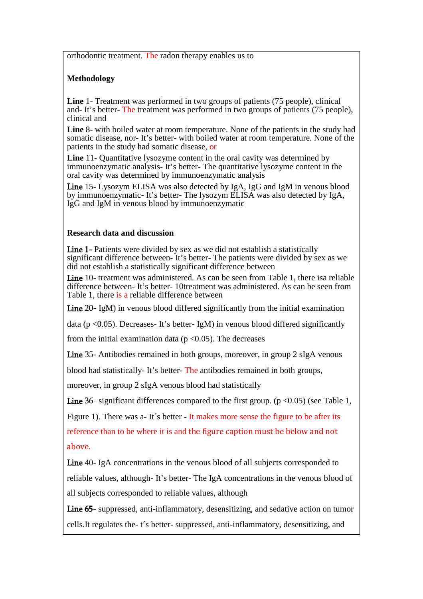orthodontic treatment. The radon therapy enables us to

### **Methodology**

**Line** 1- Treatment was performed in two groups of patients (75 people), clinical and- It's better- The treatment was performed in two groups of patients (75 people), clinical and

**Line** 8- with boiled water at room temperature. None of the patients in the study had somatic disease, nor- It's better- with boiled water at room temperature. None of the patients in the study had somatic disease, or

**Line** 11- Quantitative lysozyme content in the oral cavity was determined by immunoenzymatic analysis- It's better- The quantitative lysozyme content in the oral cavity was determined by immunoenzymatic analysis

Line 15- Lysozym ELISA was also detected by IgA, IgG and IgM in venous blood by immunoenzymatic- It's better- The lysozym ELISA was also detected by IgA, IgG and IgM in venous blood by immunoenzymatic

#### **Research data and discussion**

Line 1- Patients were divided by sex as we did not establish a statistically significant difference between- It's better- The patients were divided by sex as we did not establish a statistically significant difference between

Line 10- treatment was administered. As can be seen from Table 1, there isa reliable difference between- It's better- 10treatment was administered. As can be seen from Table 1, there is a reliable difference between

Line 20- IgM) in venous blood differed significantly from the initial examination

data ( $p \le 0.05$ ). Decreases- It's better- IgM) in venous blood differed significantly

from the initial examination data ( $p < 0.05$ ). The decreases

Line 35- Antibodies remained in both groups, moreover, in group 2 sIgA venous

blood had statistically- It's better- The antibodies remained in both groups,

moreover, in group 2 sIgA venous blood had statistically

Line 36- significant differences compared to the first group. ( $p \le 0.05$ ) (see Table 1,

Figure 1). There was a- It's better - It makes more sense the figure to be after its reference than to be where it is and the figure caption must be below and not above.

Line 40- IgA concentrations in the venous blood of all subjects corresponded to reliable values, although- It's better- The IgA concentrations in the venous blood of all subjects corresponded to reliable values, although

Line 65- suppressed, anti-inflammatory, desensitizing, and sedative action on tumor cells.It regulates the- t´s better*-* suppressed, anti-inflammatory, desensitizing, and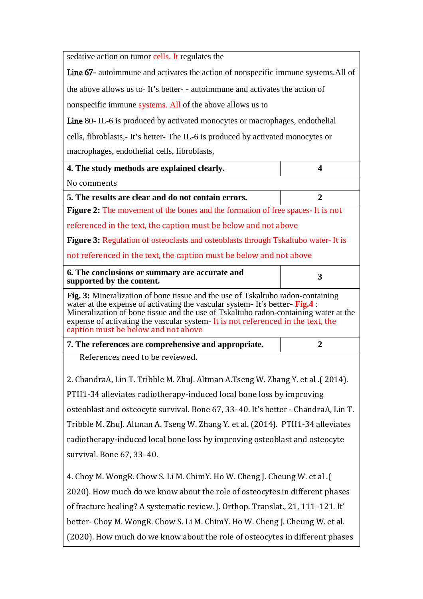sedative action on tumor cells. It regulates the

Line 67- autoimmune and activates the action of nonspecific immune systems.All of the above allows us to- It's better- - autoimmune and activates the action of

nonspecific immune systems. All of the above allows us to

Line 80- IL-6 is produced by activated monocytes or macrophages, endothelial cells, fibroblasts,- It's better- The IL-6 is produced by activated monocytes or macrophages, endothelial cells, fibroblasts,

| 4. The study methods are explained clearly.                                                                                                                                                                                                                                                                                                                                          | $\overline{\mathbf{4}}$ |  |
|--------------------------------------------------------------------------------------------------------------------------------------------------------------------------------------------------------------------------------------------------------------------------------------------------------------------------------------------------------------------------------------|-------------------------|--|
| No comments                                                                                                                                                                                                                                                                                                                                                                          |                         |  |
| 5. The results are clear and do not contain errors.                                                                                                                                                                                                                                                                                                                                  | $\overline{2}$          |  |
| <b>Figure 2:</b> The movement of the bones and the formation of free spaces It is not                                                                                                                                                                                                                                                                                                |                         |  |
| referenced in the text, the caption must be below and not above                                                                                                                                                                                                                                                                                                                      |                         |  |
| <b>Figure 3:</b> Regulation of osteoclasts and osteoblasts through Tskaltubo water-It is                                                                                                                                                                                                                                                                                             |                         |  |
| not referenced in the text, the caption must be below and not above                                                                                                                                                                                                                                                                                                                  |                         |  |
| 6. The conclusions or summary are accurate and<br>supported by the content.                                                                                                                                                                                                                                                                                                          | $\overline{\mathbf{3}}$ |  |
| Fig. 3: Mineralization of bone tissue and the use of Tskaltubo radon-containing<br>water at the expense of activating the vascular system - It's better- Fig.4 :<br>Mineralization of bone tissue and the use of Tskaltubo radon-containing water at the<br>expense of activating the vascular system - It is not referenced in the text, the<br>caption must be below and not above |                         |  |
|                                                                                                                                                                                                                                                                                                                                                                                      |                         |  |
| 7. The references are comprehensive and appropriate.                                                                                                                                                                                                                                                                                                                                 | $\overline{2}$          |  |
| References need to be reviewed.                                                                                                                                                                                                                                                                                                                                                      |                         |  |
| 2. ChandraA, Lin T. Tribble M. ZhuJ. Altman A.Tseng W. Zhang Y. et al .(2014).                                                                                                                                                                                                                                                                                                       |                         |  |
| PTH1-34 alleviates radiotherapy-induced local bone loss by improving                                                                                                                                                                                                                                                                                                                 |                         |  |
| osteoblast and osteocyte survival. Bone 67, 33-40. It's better - ChandraA, Lin T.                                                                                                                                                                                                                                                                                                    |                         |  |
| Tribble M. ZhuJ. Altman A. Tseng W. Zhang Y. et al. (2014). PTH1-34 alleviates                                                                                                                                                                                                                                                                                                       |                         |  |
| radiotherapy-induced local bone loss by improving osteoblast and osteocyte                                                                                                                                                                                                                                                                                                           |                         |  |
| survival. Bone 67, 33-40.                                                                                                                                                                                                                                                                                                                                                            |                         |  |
| 4. Choy M. WongR. Chow S. Li M. ChimY. Ho W. Cheng J. Cheung W. et al. (                                                                                                                                                                                                                                                                                                             |                         |  |
| 2020). How much do we know about the role of osteocytes in different phases                                                                                                                                                                                                                                                                                                          |                         |  |

better- Choy M. WongR. Chow S. Li M. ChimY. Ho W. Cheng J. Cheung W. et al.

(2020). How much do we know about the role of osteocytes in different phases